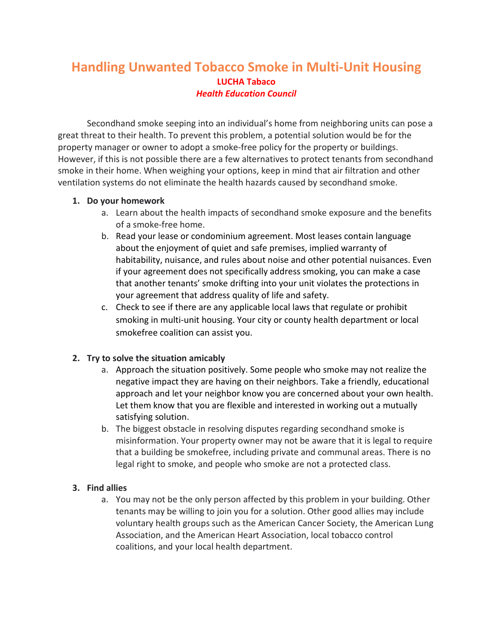## **Handling Unwanted Tobacco Smoke in Multi-Unit Housing LUCHA Tabaco** *Health Education Council*

Secondhand smoke seeping into an individual's home from neighboring units can pose a great threat to their health. To prevent this problem, a potential solution would be for the property manager or owner to adopt a smoke-free policy for the property or buildings. However, if this is not possible there are a few alternatives to protect tenants from secondhand smoke in their home. When weighing your options, keep in mind that air filtration and other ventilation systems do not eliminate the health hazards caused by secondhand smoke.

## **1. Do your homework**

- a. Learn about the health impacts of secondhand smoke exposure and the benefits of a smoke-free home.
- b. Read your lease or condominium agreement. Most leases contain language about the enjoyment of quiet and safe premises, implied warranty of habitability, nuisance, and rules about noise and other potential nuisances. Even if your agreement does not specifically address smoking, you can make a case that another tenants' smoke drifting into your unit violates the protections in your agreement that address quality of life and safety.
- c. Check to see if there are any applicable local laws that regulate or prohibit smoking in multi-unit housing. Your city or county health department or local smokefree coalition can assist you.

## **2. Try to solve the situation amicably**

- a. Approach the situation positively. Some people who smoke may not realize the negative impact they are having on their neighbors. Take a friendly, educational approach and let your neighbor know you are concerned about your own health. Let them know that you are flexible and interested in working out a mutually satisfying solution.
- b. The biggest obstacle in resolving disputes regarding secondhand smoke is misinformation. Your property owner may not be aware that it is legal to require that a building be smokefree, including private and communal areas. There is no legal right to smoke, and people who smoke are not a protected class.

## **3. Find allies**

a. You may not be the only person affected by this problem in your building. Other tenants may be willing to join you for a solution. Other good allies may include voluntary health groups such as the American Cancer Society, the American Lung Association, and the American Heart Association, local tobacco control coalitions, and your local health department.